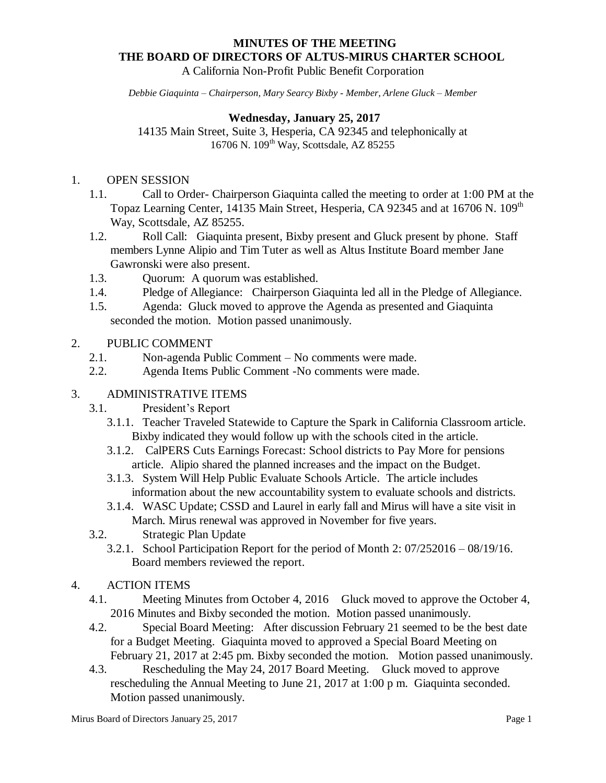# **MINUTES OF THE MEETING THE BOARD OF DIRECTORS OF ALTUS-MIRUS CHARTER SCHOOL**

A California Non-Profit Public Benefit Corporation

*Debbie Giaquinta – Chairperson, Mary Searcy Bixby - Member, Arlene Gluck – Member* 

# **Wednesday, January 25, 2017**

14135 Main Street, Suite 3, Hesperia, CA 92345 and telephonically at 16706 N. 109<sup>th</sup> Way, Scottsdale, AZ 85255

## 1. OPEN SESSION

- 1.1. Call to Order- Chairperson Giaquinta called the meeting to order at 1:00 PM at the Topaz Learning Center, 14135 Main Street, Hesperia, CA 92345 and at 16706 N. 109<sup>th</sup> Way, Scottsdale, AZ 85255.
- 1.2. Roll Call: Giaquinta present, Bixby present and Gluck present by phone. Staff members Lynne Alipio and Tim Tuter as well as Altus Institute Board member Jane Gawronski were also present.
- 1.3. Quorum: A quorum was established.
- 1.4. Pledge of Allegiance: Chairperson Giaquinta led all in the Pledge of Allegiance.
- 1.5. Agenda: Gluck moved to approve the Agenda as presented and Giaquinta seconded the motion. Motion passed unanimously.

#### 2. PUBLIC COMMENT

- 2.1. Non-agenda Public Comment No comments were made.
- 2.2. Agenda Items Public Comment -No comments were made.

# 3. ADMINISTRATIVE ITEMS

- 3.1. President's Report
	- 3.1.1. Teacher Traveled Statewide to Capture the Spark in California Classroom article. Bixby indicated they would follow up with the schools cited in the article.
	- 3.1.2. CalPERS Cuts Earnings Forecast: School districts to Pay More for pensions article. Alipio shared the planned increases and the impact on the Budget.
	- 3.1.3. System Will Help Public Evaluate Schools Article. The article includes information about the new accountability system to evaluate schools and districts.
	- 3.1.4. WASC Update; CSSD and Laurel in early fall and Mirus will have a site visit in March. Mirus renewal was approved in November for five years.
- 3.2. Strategic Plan Update
	- 3.2.1. School Participation Report for the period of Month 2: 07/252016 08/19/16. Board members reviewed the report.

#### 4. ACTION ITEMS

- 4.1. Meeting Minutes from October 4, 2016 Gluck moved to approve the October 4, 2016 Minutes and Bixby seconded the motion. Motion passed unanimously.
- 4.2. Special Board Meeting: After discussion February 21 seemed to be the best date for a Budget Meeting. Giaquinta moved to approved a Special Board Meeting on February 21, 2017 at 2:45 pm. Bixby seconded the motion. Motion passed unanimously.
- 4.3. Rescheduling the May 24, 2017 Board Meeting. Gluck moved to approve rescheduling the Annual Meeting to June 21, 2017 at 1:00 p m. Giaquinta seconded. Motion passed unanimously.